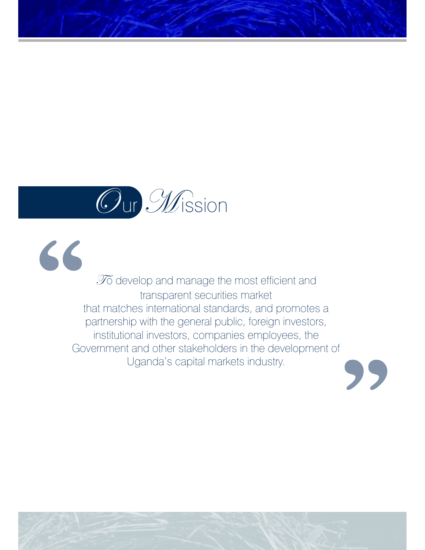# Our Mission

**"**

**"**  $\widetilde{\mathscr{I}}$  develop and manage the most efficient and transparent securities market that matches international standards, and promotes a partnership with the general public, foreign investors, institutional investors, companies employees, the Government and other stakeholders in the development of Uganda's capital markets industry.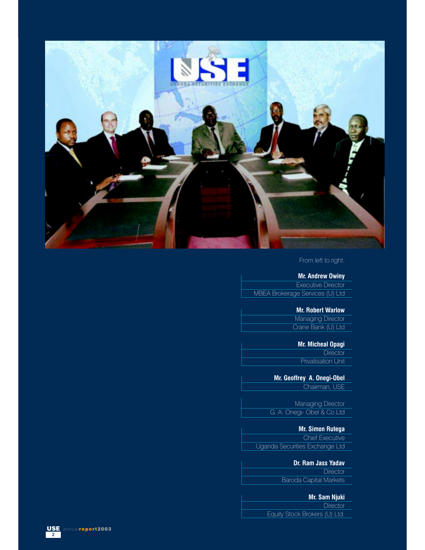

#### From left to right:

#### **Mr. Andrew Owiny**

Executive Director MBEA Brokerage Services (U) Ltd

### **Mr. Robert Warlow**

Managing Director Crane Bank (U) Ltd

## **Mr. Micheal Opagi**

**Director** Privatisation Unit

**Mr. Geoffrey A. Onegi-Obel** Chairman, USE

**Managing Director** G. A. Onegi- Obel & Co Ltd

## **Mr. Simon Rutega**

Chief Executive Uganda Securities Exchange Ltd

## **Mr. Andrew Owiny**, Executive Director - MBEA Brokerage Services (U) Ltd; **Mr. Robert Warlow**, Managing **Dr. Ram Jass Yadav**

Director, Crane Bank (U) Ltd; **Mr. Micheal Opagi** - Director, Privatisation Unit; **Mr. Geoffrey A. Onegi-Obel,** Chairman USE, Managing Director - G. A. Onegi- Obel & Co Ltd; **Mr, Simon Rutega**, Chief Executive, Baroda Capital Markets **Director** 

## **Mr. Sam Njuki**

**Director** 

Equity Stock Brokers (U) Ltd.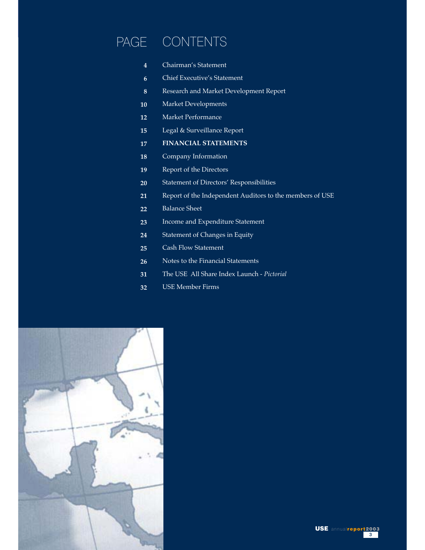# PAGE CONTENTS

- Chairman's Statement **4**
- Chief Executive's Statement **6**
- Research and Market Development Report **8**
- Market Developments **10**
- Market Performance **12**
- Legal & Surveillance Report **15**
- **FINANCIAL STATEMENTS 17**
- Company Information **18**
- Report of the Directors **19**
- Statement of Directors' Responsibilities **20**
- Report of the Independent Auditors to the members of USE **21**
- Balance Sheet **22**
- Income and Expenditure Statement **23**
- Statement of Changes in Equity **24**
- Cash Flow Statement **25**
- Notes to the Financial Statements **26**
- The USE All Share Index Launch - *Pictorial* **31**
- USE Member Firms **32**

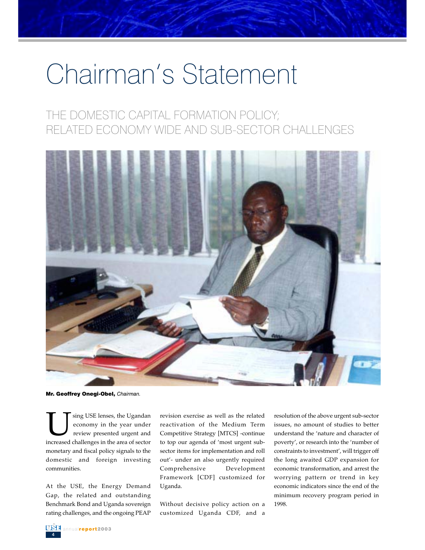# Chairman's Statement

## THE DOMESTIC CAPITAL FORMATION POLICY; RELATED ECONOMY WIDE AND SUB-SECTOR CHALLENGES



Mr. Geoffrey Onegi-Obel, *Chairman.*

USE lenses, the Ugandan<br>
economy in the year under<br>
review presented urgent and<br>
increased challenges in the area of sector economy in the year under review presented urgent and monetary and fiscal policy signals to the domestic and foreign investing communities.

At the USE, the Energy Demand Gap, the related and outstanding Benchmark Bond and Uganda sovereign rating challenges, and the ongoing PEAP

revision exercise as well as the related reactivation of the Medium Term Competitive Strategy [MTCS] -continue to top our agenda of 'most urgent subsector items for implementation and roll out'- under an also urgently required Comprehensive Development Framework [CDF] customized for Uganda.

Without decisive policy action on a customized Uganda CDF, and a

resolution of the above urgent sub-sector issues, no amount of studies to better understand the 'nature and character of poverty', or research into the 'number of constraints to investment', will trigger off the long awaited GDP expansion for economic transformation, and arrest the worrying pattern or trend in key economic indicators since the end of the minimum recovery program period in 1998.

4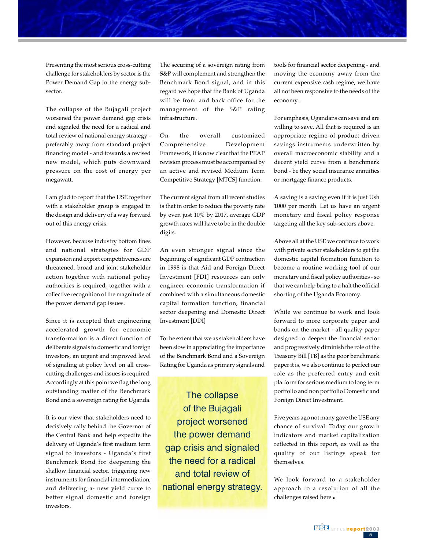Presenting the most serious cross-cutting challenge for stakeholders by sector is the Power Demand Gap in the energy subsector.

The collapse of the Bujagali project<br>worsened the power demand gap crisis and signaled the need for a radical and<br>total mujou of national anomy strategy preferably away from standard project The collapse of the Bujagali project total review of national energy strategy financing model - and towards a revised new model, which puts downward pressure on the cost of energy per megawatt.

I am glad to report that the USE together with a stakeholder group is engaged in the design and delivery of a way forward out of this energy crisis.

However, because industry bottom lines and national strategies for GDP expansion and export competitiveness are threatened, broad and joint stakeholder action together with national policy authorities is required, together with a collective recognition of the magnitude of the power demand gap issues.

Since it is accepted that engineering accelerated growth for economic transformation is a direct function of deliberate signals to domestic and foreign investors, an urgent and improved level of signaling at policy level on all crosscutting challenges and issues is required. Accordingly at this point we flag the long outstanding matter of the Benchmark Bond and a sovereign rating for Uganda.

It is our view that stakeholders need to decisively rally behind the Governor of the Central Bank and help expedite the delivery of Uganda's first medium term signal to investors - Uganda's first Benchmark Bond for deepening the shallow financial sector, triggering new instruments for financial intermediation, and delivering a- new yield curve to better signal domestic and foreign investors.

The securing of a sovereign rating from S&P will complement and strengthen the Benchmark Bond signal, and in this regard we hope that the Bank of Uganda will be front and back office for the management of the S&P rating infrastructure.

On the overall customized Comprehensive Development Framework, it is now clear that the PEAP revision process must be accompanied by an active and revised Medium Term Competitive Strategy [MTCS] function.

The current signal from all recent studies is that in order to reduce the poverty rate by even just 10% by 2017, average GDP growth rates will have to be in the double digits.

An even stronger signal since the beginning of significant GDP contraction in 1998 is that Aid and Foreign Direct Investment [FDI] resources can only engineer economic transformation if combined with a simultaneous domestic capital formation function, financial sector deepening and Domestic Direct Investment [DDI]

To the extent that we as stakeholders have been slow in appreciating the importance of the Benchmark Bond and a Sovereign Rating for Uganda as primary signals and

The collapse of the Bujagali project worsened the power demand gap crisis and signaled the need for a radical and total review of national energy strategy.

tools for financial sector deepening - and moving the economy away from the current expensive cash regime, we have all not been responsive to the needs of the economy .

For emphasis, Ugandans can save and are willing to save. All that is required is an appropriate regime of product driven savings instruments underwritten by overall macroeconomic stability and a decent yield curve from a benchmark bond - be they social insurance annuities or mortgage finance products.

A saving is a saving even if it is just Ush 1000 per month. Let us have an urgent monetary and fiscal policy response targeting all the key sub-sectors above.

Above all at the USE we continue to work with private sector stakeholders to get the domestic capital formation function to become a routine working tool of our monetary and fiscal policy authorities - so that we can help bring to a halt the official shorting of the Uganda Economy.

While we continue to work and look forward to more corporate paper and bonds on the market - all quality paper designed to deepen the financial sector and progressively diminish the role of the Treasury Bill [TB] as the poor benchmark paper it is, we also continue to perfect our role as the preferred entry and exit platform for serious medium to long term portfolio and non portfolio Domestic and Foreign Direct Investment.

Five years ago not many gave the USE any chance of survival. Today our growth indicators and market capitalization reflected in this report, as well as the quality of our listings speak for themselves.

We look forward to a stakeholder approach to a resolution of all the challenges raised here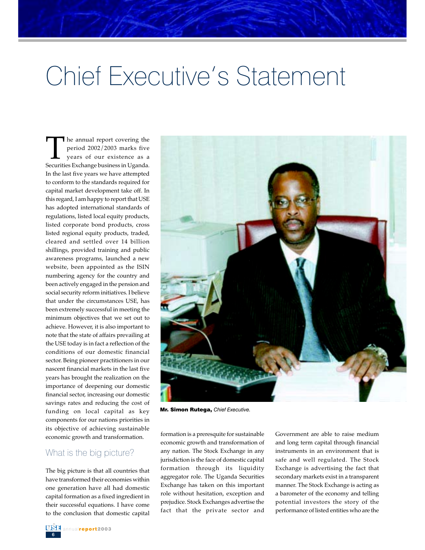# Chief Executive's Statement

The annual report covering the<br>period 2002/2003 marks five<br>years of our existence as a<br>Securities Exchange business in Uganda. period 2002/2003 marks five years of our existence as a Securities Exchange business in Uganda. In the last five years we have attempted to conform to the standards required for capital market development take off. In this regard, I am happy to report that USE has adopted international standards of regulations, listed local equity products, listed corporate bond products, cross listed regional equity products, traded, cleared and settled over 14 billion shillings, provided training and public awareness programs, launched a new website, been appointed as the ISIN numbering agency for the country and been actively engaged in the pension and social security reform initiatives. I believe that under the circumstances USE, has been extremely successful in meeting the minimum objectives that we set out to achieve. However, it is also important to note that the state of affairs prevailing at the USE today is in fact a reflection of the conditions of our domestic financial sector. Being pioneer practitioners in our nascent financial markets in the last five years has brought the realization on the importance of deepening our domestic financial sector, increasing our domestic savings rates and reducing the cost of funding on local capital as key components for our nations priorities in its objective of achieving sustainable economic growth and transformation.

#### What is the big picture?

The big picture is that all countries that have transformed their economies within one generation have all had domestic capital formation as a fixed ingredient in their successful equations. I have come to the conclusion that domestic capital



Mr. Simon Rutega, *Chief Executive.*

formation is a preresquite for sustainable economic growth and transformation of any nation. The Stock Exchange in any jurisdiction is the face of domestic capital formation through its liquidity aggregator role. The Uganda Securities Exchange has taken on this important role without hesitation, exception and prejudice. Stock Exchanges advertise the fact that the private sector and

Government are able to raise medium and long term capital through financial instruments in an environment that is safe and well regulated. The Stock Exchange is advertising the fact that secondary markets exist in a transparent manner. The Stock Exchange is acting as a barometer of the economy and telling potential investors the story of the performance of listed entities who are the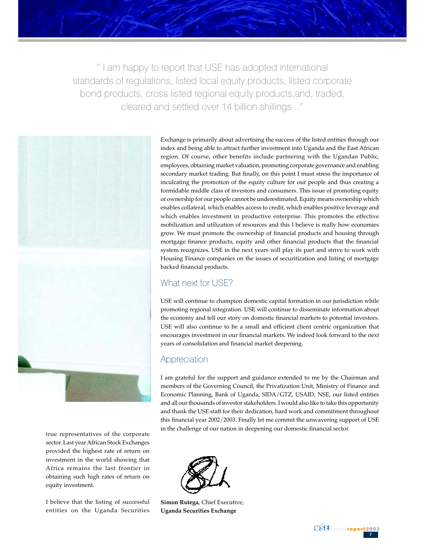" I am happy to report that USE has adopted international standards of regulations, listed local equity products, listed corporate bond products, cross listed regional equity products,and, traded, cleared and settled over 14 billion shillings..."



true representatives of the corporate sector. Last year African Stock Exchanges provided the highest rate of return on investment in the world showing that Africa remains the last frontier in obtaining such high rates of return on equity investment.

I believe that the listing of successful entities on the Uganda Securities

Exchange is primarily about advertising the success of the listed entities through our index and being able to attract further investment into Uganda and the East African region. Of course, other benefits include partnering with the Ugandan Public, employees, obtaining market valuation, promoting corporate governance and enabling secondary market trading. But finally, on this point I must stress the importance of inculcating the promotion of the equity culture for our people and thus creating a formidable middle class of investors and consumers. This issue of promoting equity or ownership for our people cannot be underestimated. Equity means ownership which enables collateral, which enables access to credit, which enables positive leverage and which enables investment in productive enterprise. This promotes the effective mobilization and utilization of resources and this I believe is really how economies grow. We must promote the ownership of financial products and housing through mortgage finance products, equity and other financial products that the financial system recognizes. USE in the next years will play its part and strive to work with Housing Finance companies on the issues of securitization and listing of mortgage backed financial products.

## What next for USE?

USE will continue to champion domestic capital formation in our jurisdiction while promoting regional integration. USE will continue to disseminate information about the economy and tell our story on domestic financial markets to potential investors. USE will also continue to be a small and efficient client centric organization that encourages investment in our financial markets. We indeed look forward to the next years of consolidation and financial market deepening.

## Appreciation

I am grateful for the support and guidance extended to me by the Chairman and members of the Governing Council, the Privatization Unit, Ministry of Finance and Economic Planning, Bank of Uganda, SIDA/GTZ, USAID, NSE, our listed entities and all our thousands of investor stakeholders. I would also like to take this opportunity and thank the USE staff for their dedication, hard work and commitment throughout this financial year 2002/2003. Finally let me commit the unwavering support of USE in the challenge of our nation in deepening our domestic financial sector.



**Simon Rutega**, Chief Executive, **Uganda Securities Exchange**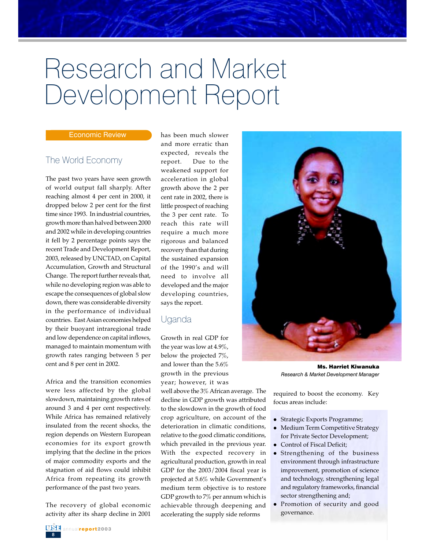# Research and Market Development Report

#### Economic Review

## The World Economy

The past two years have seen growth of world output fall sharply. After reaching almost 4 per cent in 2000, it dropped below 2 per cent for the first time since 1993. In industrial countries, growth more than halved between 2000 and 2002 while in developing countries it fell by 2 percentage points says the recent Trade and Development Report, 2003, released by UNCTAD, on Capital Accumulation, Growth and Structural Change. The report further reveals that, while no developing region was able to escape the consequences of global slow down, there was considerable diversity in the performance of individual countries. East Asian economies helped by their buoyant intraregional trade and low dependence on capital inflows, managed to maintain momentum with growth rates ranging between 5 per cent and 8 per cent in 2002.

Africa and the transition economies were less affected by the global slowdown, maintaining growth rates of around 3 and 4 per cent respectively. While Africa has remained relatively insulated from the recent shocks, the region depends on Western European economies for its export growth implying that the decline in the prices of major commodity exports and the stagnation of aid flows could inhibit Africa from repeating its growth performance of the past two years.

The recovery of global economic activity after its sharp decline in 2001 has been much slower and more erratic than expected, reveals the report. Due to the weakened support for acceleration in global growth above the 2 per cent rate in 2002, there is little prospect of reaching the 3 per cent rate. To reach this rate will require a much more rigorous and balanced recovery than that during the sustained expansion of the 1990's and will need to involve all developed and the major developing countries, says the report.

## Uganda

Growth in real GDP for the year was low at 4.9%, below the projected 7%, and lower than the 5.6% growth in the previous year; however, it was

well above the 3% African average. The decline in GDP growth was attributed to the slowdown in the growth of food crop agriculture, on account of the deterioration in climatic conditions, relative to the good climatic conditions, which prevailed in the previous year. With the expected recovery in agricultural production, growth in real GDP for the 2003/2004 fiscal year is projected at 5.6% while Government's medium term objective is to restore GDP growth to 7% per annum which is achievable through deepening and accelerating the supply side reforms



Ms. Harriet Kiwanuka *Research & Market Development Manager*

required to boost the economy. Key focus areas include:

- Strategic Exports Programme;
- Medium Term Competitive Strategy for Private Sector Development;
- Control of Fiscal Deficit;
- Strengthening of the business environment through infrastructure improvement, promotion of science and technology, strengthening legal and regulatory frameworks, financial sector strengthening and;
- Promotion of security and good governance.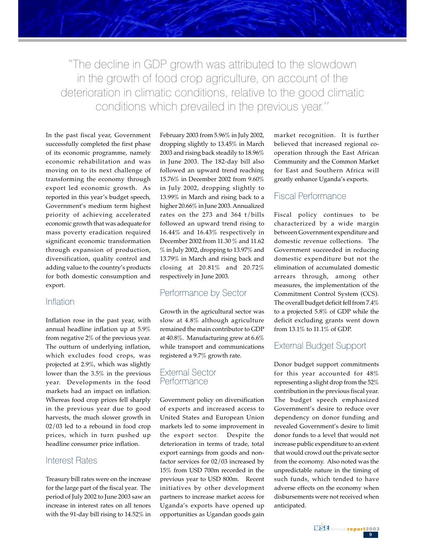"The decline in GDP growth was attributed to the slowdown in the growth of food crop agriculture, on account of the deterioration in climatic conditions, relative to the good climatic conditions which prevailed in the previous year.''

In the past fiscal year, Government successfully completed the first phase of its economic programme, namely economic rehabilitation and was moving on to its next challenge of transforming the economy through export led economic growth. As reported in this year's budget speech, Government's medium term highest priority of achieving accelerated economic growth that was adequate for mass poverty eradication required significant economic transformation through expansion of production, diversification, quality control and adding value to the country's products for both domestic consumption and export.

#### Inflation

Inflation rose in the past year, with annual headline inflation up at 5.9% from negative 2% of the previous year. The outturn of underlying inflation, which excludes food crops, was projected at 2.9%, which was slightly lower than the 3.5% in the previous year. Developments in the food markets had an impact on inflation. Whereas food crop prices fell sharply in the previous year due to good harvests, the much slower growth in 02/03 led to a rebound in food crop prices, which in turn pushed up headline consumer price inflation.

## Interest Rates

Treasury bill rates were on the increase for the large part of the fiscal year. The period of July 2002 to June 2003 saw an increase in interest rates on all tenors with the 91-day bill rising to 14.52% in

February 2003 from 5.96% in July 2002, dropping slightly to 13.45% in March 2003 and rising back steadily to 18.96% in June 2003. The 182-day bill also followed an upward trend reaching 15.76% in December 2002 from 9.60% in July 2002, dropping slightly to 13.99% in March and rising back to a higher 20.66% in June 2003. Annualized rates on the 273 and 364 t/bills followed an upward trend rising to 16.44% and 16.43% respectively in December 2002 from 11.30 % and 11.62 % in July 2002, dropping to 13.97% and 13.79% in March and rising back and closing at 20.81% and 20.72% respectively in June 2003.

## Performance by Sector

Growth in the agricultural sector was slow at 4.8% although agriculture remained the main contributor to GDP at 40.8%. Manufacturing grew at 6.6% while transport and communications registered a 9.7% growth rate.

### External Sector **Performance**

Government policy on diversification of exports and increased access to United States and European Union markets led to some improvement in the export sector. Despite the deterioration in terms of trade, total export earnings from goods and nonfactor services for 02/03 increased by 15% from USD 700m recorded in the previous year to USD 800m. Recent initiatives by other development partners to increase market access for Uganda's exports have opened up opportunities as Ugandan goods gain

market recognition. It is further believed that increased regional cooperation through the East African Community and the Common Market for East and Southern Africa will greatly enhance Uganda's exports.

## Fiscal Performance

Fiscal policy continues to be characterized by a wide margin between Government expenditure and domestic revenue collections. The Government succeeded in reducing domestic expenditure but not the elimination of accumulated domestic arrears through, among other measures, the implementation of the Commitment Control System (CCS). The overall budget deficit fell from 7.4% to a projected 5.8% of GDP while the deficit excluding grants went down from 13.1% to 11.1% of GDP.

### External Budget Support

Donor budget support commitments for this year accounted for 48% representing a slight drop from the 52% contribution in the previous fiscal year. The budget speech emphasized Government's desire to reduce over dependency on donor funding and revealed Government's desire to limit donor funds to a level that would not increase public expenditure to an extent that would crowd out the private sector from the economy. Also noted was the unpredictable nature in the timing of such funds, which tended to have adverse effects on the economy when disbursements were not received when anticipated.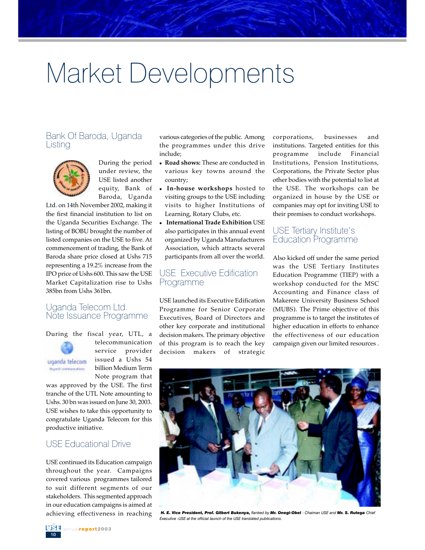# Market Developments

## Bank Of Baroda, Uganda Listing



During the period under review, the USE listed another equity, Bank of Baroda, Uganda

Ltd. on 14th November 2002, making it the first financial institution to list on the Uganda Securities Exchange. The listing of BOBU brought the number of listed companies on the USE to five. At commencement of trading, the Bank of Baroda share price closed at Ushs 715 representing a 19.2% increase from the IPO price of Ushs 600. This saw the USE Market Capitalization rise to Ushs 385bn from Ushs 361bn.

#### Uganda Telecom Ltd. Note Issuance Programme

During the fiscal year, UTL, a



Report committed into

telecommunication service provider issued a Ushs 54 billion Medium Term Note program that

was approved by the USE. The first tranche of the UTL Note amounting to Ushs. 30 bn was issued on June 30, 2003. USE wishes to take this opportunity to congratulate Uganda Telecom for this productive initiative.

## USE Educational Drive

USE continued its Education campaign throughout the year. Campaigns covered various programmes tailored to suit different segments of our stakeholders. This segmented approach in our education campaigns is aimed at achieving effectiveness in reaching

various categories of the public. Among the programmes under this drive include;

- **Road shows:** These are conducted in various key towns around the country;
- **In-house workshops** hosted to visiting groups to the USE including visits to higher Institutions of Learning, Rotary Clubs, etc.
- **International Trade Exhibition** USE also participates in this annual event organized by Uganda Manufacturers Association, which attracts several participants from all over the world.

#### USE Executive Edification Programme

USE launched its Executive Edification Programme for Senior Corporate Executives, Board of Directors and other key corporate and institutional decision makers. The primary objective of this program is to reach the key decision makers of strategic

corporations, businesses and institutions. Targeted entities for this programme include Financial Institutions, Pension Institutions, Corporations, the Private Sector plus other bodies with the potential to list at the USE. The workshops can be organized in house by the USE or companies may opt for inviting USE to their premises to conduct workshops.

## USE Tertiary Institute's Education Programme

Also kicked off under the same period was the USE Tertiary Institutes Education Programme (TIEP) with a workshop conducted for the MSC Accounting and Finance class of Makerere University Business School (MUBS). The Prime objective of this programme is to target the institutes of higher education in efforts to enhance the effectiveness of our education campaign given our limited resources .



*H. E. Vice President, Prof. Gilbert Bukenya, flanked by Mr. Onegi-Obel - Chaiman USE and Mr. S. Rutega Chief Executive -USE at the official launch of the USE translated publications.*

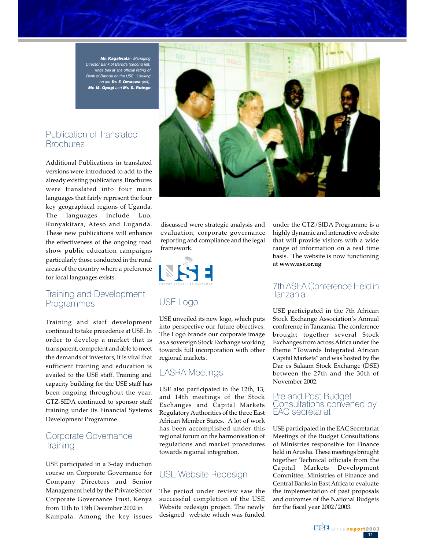*Mr. Kagalwala - Managing Director Bank of Baroda (second left) rings bell at the official listing of Bank of Baroda on the USE. Looking on are Dr. F. Omaswa (left), Mr. M. Opagi and Mr. S. Rutega*

## Publication of Translated **Brochures**

Additional Publications in translated versions were introduced to add to the already existing publications. Brochures were translated into four main languages that fairly represent the four key geographical regions of Uganda. The languages include Luo, Runyakitara, Ateso and Luganda. These new publications will enhance the effectiveness of the ongoing road show public education campaigns particularly those conducted in the rural areas of the country where a preference for local languages exists.

## Training and Development Programmes

Training and staff development continued to take precedence at USE. In order to develop a market that is transparent, competent and able to meet the demands of investors, it is vital that sufficient training and education is availed to the USE staff. Training and capacity building for the USE staff has been ongoing throughout the year. GTZ-SIDA continued to sponsor staff training under its Financial Systems Development Programme.

### Corporate Governance **Training**

USE participated in a 3-day induction course on Corporate Governance for Company Directors and Senior Management held by the Private Sector Corporate Governance Trust, Kenya from 11th to 13th December 2002 in Kampala. Among the key issues



discussed were strategic analysis and evaluation, corporate governance reporting and compliance and the legal framework.



## USE Logo

USE unveiled its new logo, which puts into perspective our future objectives. The Logo brands our corporate image as a sovereign Stock Exchange working towards full incorporation with other regional markets.

### EASRA Meetings

USE also participated in the 12th, 13, and 14th meetings of the Stock Exchanges and Capital Markets Regulatory Authorities of the three East African Member States. A lot of work has been accomplished under this regional forum on the harmonisation of regulations and market procedures towards regional integration.

## USE Website Redesign

The period under review saw the successful completion of the USE Website redesign project. The newly designed website which was funded

under the GTZ/SIDA Programme is a highly dynamic and interactive website that will provide visitors with a wide range of information on a real time basis. The website is now functioning at **www.use.or.ug**

#### 7th ASEA Conference Held in Tanzania

USE participated in the 7th African Stock Exchange Association's Annual conference in Tanzania. The conference brought together several Stock Exchanges from across Africa under the theme "Towards Integrated African Capital Markets" and was hosted by the Dar es Salaam Stock Exchange (DSE) between the 27th and the 30th of November 2002.

#### Pre and Post Budget Consultations convened by EAC secretariat

USE participated in the EAC Secretariat Meetings of the Budget Consultations of Ministries responsible for Finance held in Arusha. These meetings brought together Technical officials from the Capital Markets Development Committee, Ministries of Finance and Central Banks in East Africa to evaluate the implementation of past proposals and outcomes of the National Budgets for the fiscal year 2002/2003.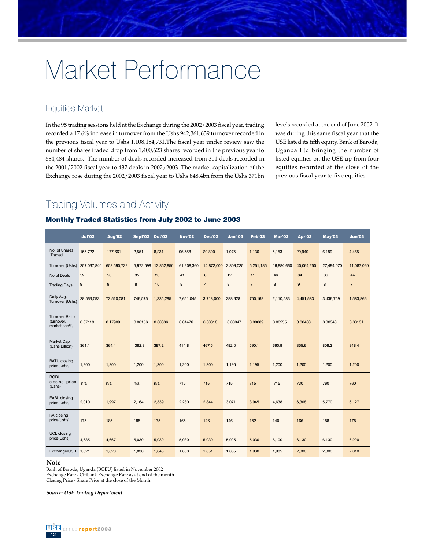# Market Performance

## Equities Market

In the 95 trading sessions held at the Exchange during the 2002/2003 fiscal year, trading recorded a 17.6% increase in turnover from the Ushs 942,361,639 turnover recorded in the previous fiscal year to Ushs 1,108,154,731.The fiscal year under review saw the number of shares traded drop from 1,400,623 shares recorded in the previous year to 584,484 shares. The number of deals recorded increased from 301 deals recorded in the 2001/2002 fiscal year to 437 deals in 2002/2003. The market capitalization of the Exchange rose during the 2002/2003 fiscal year to Ushs 848.4bn from the Ushs 371bn levels recorded at the end of June 2002. It was during this same fiscal year that the USE listed its fifth equity, Bank of Baroda, Uganda Ltd bringing the number of listed equities on the USE up from four equities recorded at the close of the previous fiscal year to five equities.

## Trading Volumes and Activity

#### Monthly Traded Statistics from July 2002 to June 2003

|                                                     | <b>Jul'02</b> | Aug'02      | Sept'02   | <b>Oct'02</b> | <b>Nov'02</b> | <b>Dec'02</b>  | <b>Jan' 03</b> | Feb'03         | Mar'03     | Apr'03     | May'03     | <b>Jun'03</b>  |
|-----------------------------------------------------|---------------|-------------|-----------|---------------|---------------|----------------|----------------|----------------|------------|------------|------------|----------------|
| No. of Shares<br>Traded                             | 155,722       | 177,661     | 2,551     | 8,231         | 96,558        | 20,800         | 1,075          | 1,130          | 5,153      | 29,949     | 6,189      | 4,465          |
| Turnover (Ushs) 257,067,840                         |               | 652,590,732 | 5,972,599 | 13,352,950    | 61,208,360    | 14,872,000     | 2,309,025      | 5,251,185      | 16,884,660 | 40,064,250 | 27,494,070 | 11,087,060     |
| No of Deals                                         | 52            | 50          | 35        | 20            | 41            | 6              | 12             | 11             | 46         | 84         | 36         | 44             |
| <b>Trading Days</b>                                 | 9             | 9           | 8         | 10            | 8             | $\overline{4}$ | 8              | $\overline{7}$ | 8          | $9\,$      | 8          | $\overline{7}$ |
| Daily Avg.<br>Turnover (Ushs)                       | 28,563,093    | 72,510,081  | 746,575   | 1,335,295     | 7,651,045     | 3,718,000      | 288,628        | 750,169        | 2,110,583  | 4,451,583  | 3,436,759  | 1,583,866      |
| <b>Turnover Ratio</b><br>(turnover/<br>market cap%) | 0.07119       | 0.17909     | 0.00156   | 0.00336       | 0.01476       | 0.00318        | 0.00047        | 0.00089        | 0.00255    | 0.00468    | 0.00340    | 0.00131        |
| Market Cap<br>(Ushs Billion)                        | 361.1         | 364.4       | 382.8     | 397.2         | 414.8         | 467.5          | 492.0          | 590.1          | 660.9      | 855.6      | 808.2      | 848.4          |
| <b>BATU</b> closing<br>price(Ushs)                  | 1,200         | 1,200       | 1,200     | 1,200         | 1,200         | 1,200          | 1,195          | 1,195          | 1,200      | 1,200      | 1,200      | 1,200          |
| <b>BOBU</b><br>closing price<br>(Ushs)              | n/a           | n/a         | n/a       | n/a           | 715           | 715            | 715            | 715            | 715        | 730        | 760        | 760            |
| <b>EABL</b> closing<br>price(Ushs)                  | 2,010         | 1,997       | 2,164     | 2,339         | 2,280         | 2,844          | 3,071          | 3,945          | 4,638      | 6,308      | 5,770      | 6,127          |
| <b>KA</b> closing<br>price(Ushs)                    | 175           | 185         | 185       | 175           | 165           | 146            | 146            | 152            | 140        | 166        | 188        | 178            |
| <b>UCL</b> closing<br>price(Ushs)                   | 4,635         | 4,667       | 5,030     | 5,030         | 5,030         | 5,030          | 5,025          | 5,030          | 6,100      | 6,130      | 6,130      | 6,220          |
| Exchange/USD                                        | 1,821         | 1,820       | 1,830     | 1,845         | 1,850         | 1,851          | 1,885          | 1,930          | 1,985      | 2,000      | 2,000      | 2,010          |

#### **Note**

Bank of Baroda, Uganda (BOBU) listed in November 2002 Exchange Rate - Citibank Exchange Rate as at end of the month Closing Price - Share Price at the close of the Month

*Source: USE Trading Department*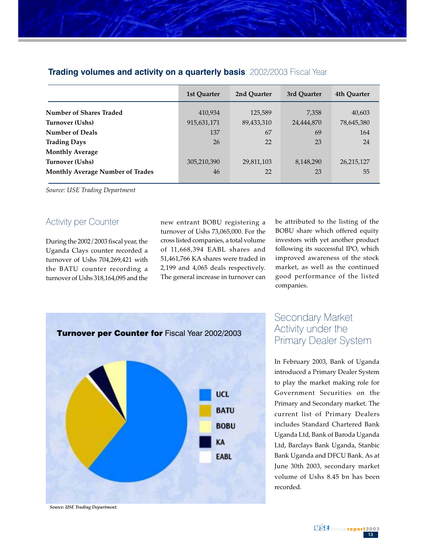|                                         | 1st Quarter | 2nd Ouarter | 3rd Ouarter | 4th Quarter |
|-----------------------------------------|-------------|-------------|-------------|-------------|
| <b>Number of Shares Traded</b>          | 410,934     | 125,589     | 7,358       | 40,603      |
| Turnover (Ushs)                         | 915,631,171 | 89,433,310  | 24,444,870  | 78,645,380  |
| <b>Number of Deals</b>                  | 137         | 67          | 69          | 164         |
| <b>Trading Days</b>                     | 26          | 22          | 23          | 24          |
| <b>Monthly Average</b>                  |             |             |             |             |
| Turnover (Ushs)                         | 305,210,390 | 29,811,103  | 8,148,290   | 26,215,127  |
| <b>Monthly Average Number of Trades</b> | 46          | 22          | 23          | 55          |

## **Trading volumes and activity on a quarterly basis**: 2002/2003 Fiscal Year

*Source: USE Trading Department*

### Activity per Counter

During the 2002/2003 fiscal year, the Uganda Clays counter recorded a turnover of Ushs 704,269,421 with the BATU counter recording a turnover of Ushs 318,164,095 and the new entrant BOBU registering a turnover of Ushs 73,065,000. For the cross listed companies, a total volume of 11,668,394 EABL shares and 51,461,766 KA shares were traded in 2,199 and 4,065 deals respectively. The general increase in turnover can be attributed to the listing of the BOBU share which offered equity investors with yet another product following its successful IPO, which improved awareness of the stock market, as well as the continued good performance of the listed companies.



## Secondary Market Activity under the Primary Dealer System

In February 2003, Bank of Uganda introduced a Primary Dealer System to play the market making role for Government Securities on the Primary and Secondary market. The current list of Primary Dealers includes Standard Chartered Bank Uganda Ltd, Bank of Baroda Uganda Ltd, Barclays Bank Uganda, Stanbic Bank Uganda and DFCU Bank. As at June 30th 2003, secondary market volume of Ushs 8.45 bn has been recorded.

*Source: USE Trading Department.*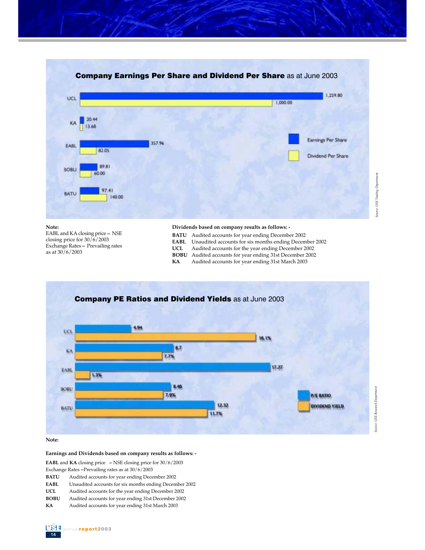

EABL and KA closing price = NSE closing price for 30/6/2003 Exchange Rates  $=$  Prevailing rates as at 30/6/2003

- **BATU** Audited accounts for year ending December 2002
- **EABL** Unaudited accounts for six months ending December 2002
- **UCL** Audited accounts for the year ending December 2002
- **BOBU** Audited accounts for year ending 31st December 2002
- **KA** Audited accounts for year ending 31st March 2003



**Note:**

**Earnings and Dividends based on company results as follows: -**

**EABL** and **KA** closing price = NSE closing price for  $30/6/2003$ 

Exchange Rates =Prevailing rates as at 30/6/2003

**BATU** Audited accounts for year ending December 2002

**EABL** Unaudited accounts for six months ending December 2002

- **UCL** Audited accounts for the year ending December 2002
- **BOBU** Audited accounts for year ending 31st December 2002
- **KA** Audited accounts for year ending 31st March 2003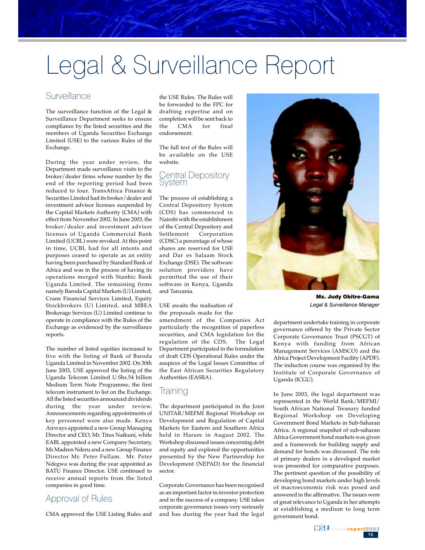# Legal & Surveillance Report

## Surveillance

The surveillance function of the Legal & Surveillance Department seeks to ensure compliance by the listed securities and the members of Uganda Securities Exchange Limited (USE) to the various Rules of the Exchange.

During the year under review, the Department made surveillance visits to the broker/dealer firms whose number by the end of the reporting period had been reduced to four. TransAfrica Finance & Securities Limited had its broker/dealer and investment advisor licenses suspended by the Capital Markets Authority (CMA) with effect from November 2002. In June 2003, the broker/dealer and investment advisor licenses of Uganda Commercial Bank Limited (UCBL) were revoked. At this point in time, UCBL had for all intents and purposes ceased to operate as an entity having been purchased by Standard Bank of Africa and was in the process of having its operations merged with Stanbic Bank Uganda Limited. The remaining firms namely Baroda Capital Markets (U) Limited, Crane Financial Services Limited, Equity Stockbrokers (U) Limited, and MBEA Brokerage Services (U) Limited continue to operate in compliance with the Rules of the Exchange as evidenced by the surveillance reports.

The number of listed equities increased to five with the listing of Bank of Baroda Uganda Limited in November 2002. On 30th June 2003, USE approved the listing of the Uganda Telecom Limited U.Shs.54 billion Medium Term Note Programme, the first telecom instrument to list on the Exchange. All the listed securities announced dividends during the year under review. Announcements regarding appointments of key personnel were also made. Kenya Airways appointed a new Group Managing Director and CEO, Mr. Titus Naikuni, while EABL appointed a new Company Secretary, Ms Madren Nderu and a new Group Finance Director Mr. Peter Fullam. Mr. Peter Ndegwa was during the year appointed as BATU Finance Director. USE continued to receive annual reports from the listed companies in good time.

## Approval of Rules

CMA approved the USE Listing Rules and

the USE Rules. The Rules will be forwarded to the FPC for drafting expertise and on completion will be sent back to the CMA for final endorsement.

The full text of the Rules will be available on the USE website.

#### Central Depository System

The process of establishing a Central Depository System (CDS) has commenced in Nairobi with the establishment of the Central Depository and Settlement Corporation (CDSC) a percentage of whose shares are reserved for USE and Dar es Salaam Stock Exchange (DSE). The software solution providers have permitted the use of their software in Kenya, Uganda and Tanzania.

#### USE awaits the realisation of the proposals made for the

amendment of the Companies Act particularly the recognition of paperless securities, and CMA legislation for the regulation of the CDS. The Legal Department participated in the formulation of draft CDS Operational Rules under the auspices of the Legal Issues Committee of the East African Securities Regulatory Authorities (EASRA).

### **Iraining**

The department participated in the Joint UNITAR/MEFMI Regional Workshop on Development and Regulation of Capital Markets for Eastern and Southern Africa held in Harare in August 2002. The Workshop discussed issues concerning debt and equity and explored the opportunities presented by the New Partnership for Development (NEPAD) for the financial sector.

Corporate Governance has been recognised as an important factor in investor protection and in the success of a company. USE takes corporate governance issues very seriously and has during the year had the legal



Ms. Judy Obitre-Gama *Legal & Surveillance Manager*

department undertake training in corporate governance offered by the Private Sector Corporate Governance Trust (PSCGT) of Kenya with funding from African Management Services (AMSCO) and the Africa Project Development Facility (APDF). The induction course was organised by the Institute of Corporate Governance of Uganda (ICGU).

In June 2003, the legal department was represented in the World Bank/MEFMI/ South African National Treasury funded Regional Workshop on Developing Government Bond Markets in Sub-Saharan Africa. A regional snapshot of sub-saharan Africa Government bond markets was given and a framework for building supply and demand for bonds was discussed. The role of primary dealers in a developed market was presented for comparative purposes. The pertinent question of the possibility of developing bond markets under high levels of macroeconomic risk was posed and answered in the affirmative. The issues were of great relevance to Uganda in her attempts at establishing a medium to long term government bond.

> $15$ **BSE** annual report2003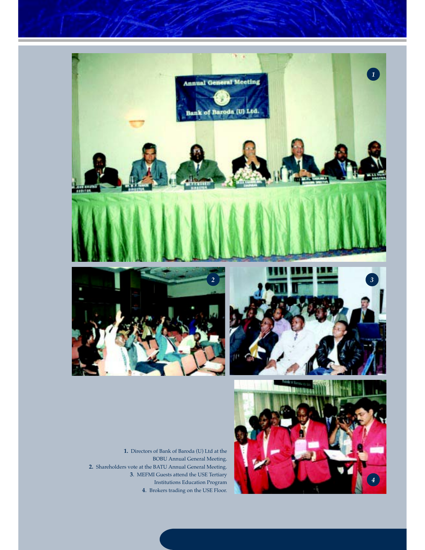





**1.** Directors of Bank of Baroda (U) Ltd at the BOBU Annual General Meeting. **2.** Shareholders vote at the BATU Annual General Meeting. **3**. MEFMI Guests attend the USE Tertiary Institutions Education Program **4**. Brokers trading on the USE Floor.

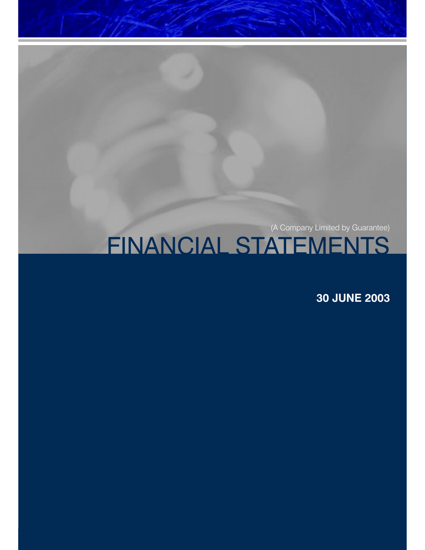# FINANCIAL STATEMENTS

**30 JUNE 2003**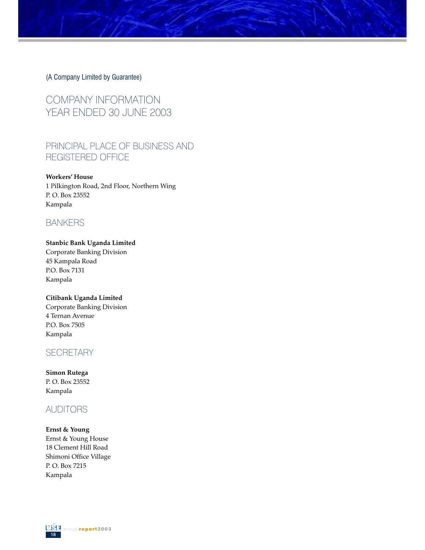COMPANY INFORMATION YEAR ENDED 30 JUNE 2003

## PRINCIPAL PLACE OF BUSINESS AND REGISTERED OFFICE

**Workers' House**

1 Pilkington Road, 2nd Floor, Northern Wing P. O. Box 23552 Kampala

## BANKERS

#### **Stanbic Bank Uganda Limited**

Corporate Banking Division 45 Kampala Road P.O. Box 7131 Kampala

#### **Citibank Uganda Limited**

Corporate Banking Division 4 Ternan Avenue P.O. Box 7505 Kampala

## **SECRETARY**

**Simon Rutega** P. O. Box 23552 Kampala

## **AUDITORS**

#### **Ernst & Young**

Ernst & Young House 18 Clement Hill Road Shimoni Office Village P. O. Box 7215 Kampala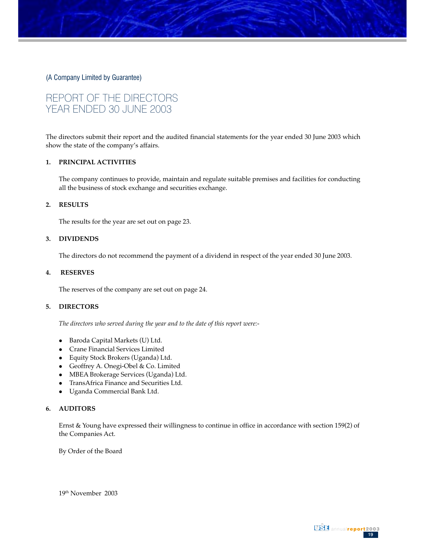## REPORT OF THE DIRECTORS YEAR ENDED 30 JUNE 2003

The directors submit their report and the audited financial statements for the year ended 30 June 2003 which show the state of the company's affairs.

#### **1. PRINCIPAL ACTIVITIES**

The company continues to provide, maintain and regulate suitable premises and facilities for conducting all the business of stock exchange and securities exchange.

#### **2. RESULTS**

The results for the year are set out on page 23.

#### **3. DIVIDENDS**

The directors do not recommend the payment of a dividend in respect of the year ended 30 June 2003.

#### **4. RESERVES**

The reserves of the company are set out on page 24.

#### **5. DIRECTORS**

*The directors who served during the year and to the date of this report were:-*

- Baroda Capital Markets (U) Ltd.
- Crane Financial Services Limited
- Equity Stock Brokers (Uganda) Ltd.
- Geoffrey A. Onegi-Obel & Co. Limited
- MBEA Brokerage Services (Uganda) Ltd.
- $\bullet$ TransAfrica Finance and Securities Ltd.
- Uganda Commercial Bank Ltd.

#### **6. AUDITORS**

Ernst & Young have expressed their willingness to continue in office in accordance with section 159(2) of the Companies Act.

By Order of the Board

19th November 2003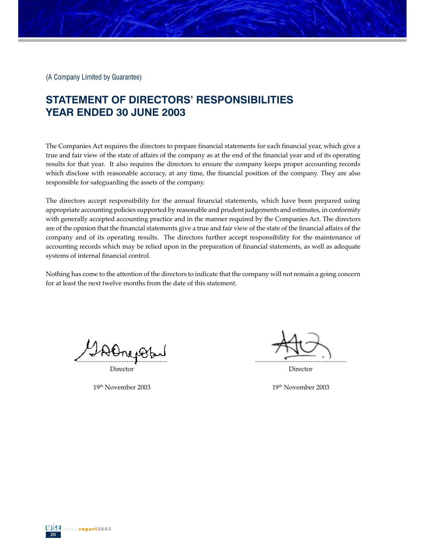## **STATEMENT OF DIRECTORS' RESPONSIBILITIES YEAR ENDED 30 JUNE 2003**

The Companies Act requires the directors to prepare financial statements for each financial year, which give a true and fair view of the state of affairs of the company as at the end of the financial year and of its operating results for that year. It also requires the directors to ensure the company keeps proper accounting records which disclose with reasonable accuracy, at any time, the financial position of the company. They are also responsible for safeguarding the assets of the company.

The directors accept responsibility for the annual financial statements, which have been prepared using appropriate accounting policies supported by reasonable and prudent judgements and estimates, in conformity with generally accepted accounting practice and in the manner required by the Companies Act. The directors are of the opinion that the financial statements give a true and fair view of the state of the financial affairs of the company and of its operating results. The directors further accept responsibility for the maintenance of accounting records which may be relied upon in the preparation of financial statements, as well as adequate systems of internal financial control.

Nothing has come to the attention of the directors to indicate that the company will not remain a going concern for at least the next twelve months from the date of this statement.

........................................................

Director

19th November 2003

........................................................

Director

19th November 2003

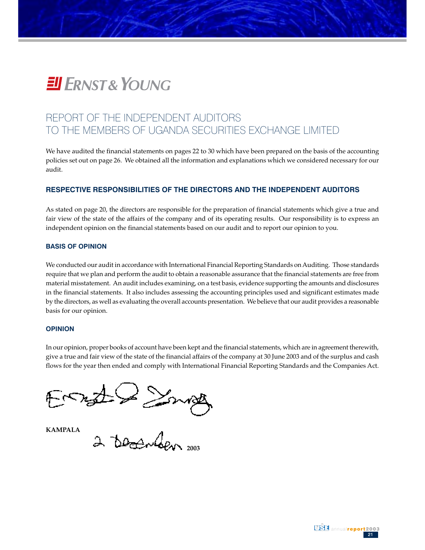# **EII ERNST& YOUNG**

## REPORT OF THE INDEPENDENT AUDITORS TO THE MEMBERS OF UGANDA SECURITIES EXCHANGE LIMITED

We have audited the financial statements on pages 22 to 30 which have been prepared on the basis of the accounting policies set out on page 26. We obtained all the information and explanations which we considered necessary for our audit.

#### **RESPECTIVE RESPONSIBILITIES OF THE DIRECTORS AND THE INDEPENDENT AUDITORS**

As stated on page 20, the directors are responsible for the preparation of financial statements which give a true and fair view of the state of the affairs of the company and of its operating results. Our responsibility is to express an independent opinion on the financial statements based on our audit and to report our opinion to you.

#### **BASIS OF OPINION**

We conducted our audit in accordance with International Financial Reporting Standards on Auditing. Those standards require that we plan and perform the audit to obtain a reasonable assurance that the financial statements are free from material misstatement. An audit includes examining, on a test basis, evidence supporting the amounts and disclosures in the financial statements. It also includes assessing the accounting principles used and significant estimates made by the directors, as well as evaluating the overall accounts presentation. We believe that our audit provides a reasonable basis for our opinion.

#### **OPINION**

In our opinion, proper books of account have been kept and the financial statements, which are in agreement therewith, give a true and fair view of the state of the financial affairs of the company at 30 June 2003 and of the surplus and cash flows for the year then ended and comply with International Financial Reporting Standards and the Companies Act.

210 Small<br>2 teachden 2003 日 アルス

**KAMPALA**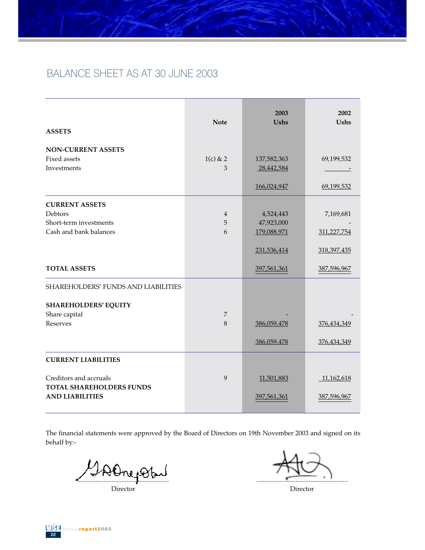## BALANCE SHEET AS AT 30 JUNE 2003

| <b>ASSETS</b>                                             | <b>Note</b>     | 2003<br><b>Ushs</b>       | 2002<br><b>Ushs</b> |
|-----------------------------------------------------------|-----------------|---------------------------|---------------------|
| <b>NON-CURRENT ASSETS</b>                                 |                 |                           |                     |
| Fixed assets<br>Investments                               | $1(c)$ & 2<br>3 | 137,582,363<br>28,442,584 | 69,199,532          |
|                                                           |                 |                           |                     |
|                                                           |                 | 166,024,947               | 69,199,532          |
| <b>CURRENT ASSETS</b>                                     |                 |                           |                     |
| Debtors                                                   | $\overline{4}$  | 4,524,443                 | 7,169,681           |
| Short-term investments                                    | 5               | 47,923,000                |                     |
| Cash and bank balances                                    | 6               | 179,088,971               | 311,227,754         |
|                                                           |                 | 231,536,414               | 318,397,435         |
| <b>TOTAL ASSETS</b>                                       |                 | 397,561,361               | 387,596,967         |
| <b>SHAREHOLDERS' FUNDS AND LIABILITIES</b>                |                 |                           |                     |
| <b>SHAREHOLDERS' EQUITY</b>                               |                 |                           |                     |
| Share capital                                             | 7               |                           |                     |
| <b>Reserves</b>                                           | 8               | 386,059,478               | 376,434,349         |
|                                                           |                 | 386,059,478               | 376,434,349         |
| <b>CURRENT LIABILITIES</b>                                |                 |                           |                     |
| Creditors and accruals<br><b>TOTAL SHAREHOLDERS FUNDS</b> | 9               | 11,501,883                | 11,162,618          |
| <b>AND LIABILITIES</b>                                    |                 | 397,561,361               | 387,596,967         |

The financial statements were approved by the Board of Directors on 19th November 2003 and signed on its behalf by:-

SAOnepoby

Director

........................................................

Director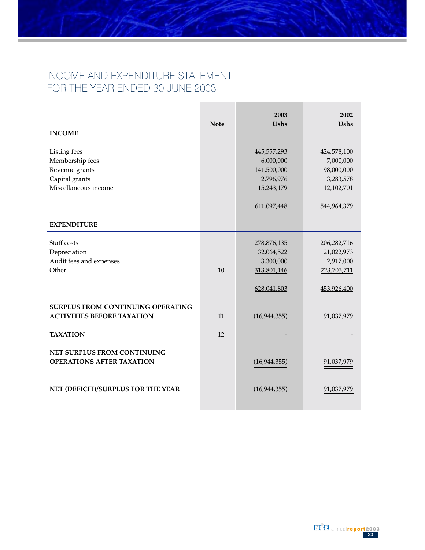## INCOME AND EXPENDITURE STATEMENT FOR THE YEAR ENDED 30 JUNE 2003

| <b>INCOME</b>                                                                               | <b>Note</b> | 2003<br><b>Ushs</b>                                                               | 2002<br><b>Ushs</b>                                                              |
|---------------------------------------------------------------------------------------------|-------------|-----------------------------------------------------------------------------------|----------------------------------------------------------------------------------|
| Listing fees<br>Membership fees<br>Revenue grants<br>Capital grants<br>Miscellaneous income |             | 445,557,293<br>6,000,000<br>141,500,000<br>2,796,976<br>15,243,179<br>611,097,448 | 424,578,100<br>7,000,000<br>98,000,000<br>3,283,578<br>12,102,701<br>544,964,379 |
| <b>EXPENDITURE</b>                                                                          |             |                                                                                   |                                                                                  |
| Staff costs<br>Depreciation<br>Audit fees and expenses<br>Other                             | 10          | 278,876,135<br>32,064,522<br>3,300,000<br>313,801,146<br>628,041,803              | 206,282,716<br>21,022,973<br>2,917,000<br>223,703,711<br>453,926,400             |
| <b>SURPLUS FROM CONTINUING OPERATING</b><br><b>ACTIVITIES BEFORE TAXATION</b>               | 11          | (16, 944, 355)                                                                    | 91,037,979                                                                       |
| <b>TAXATION</b>                                                                             | 12          |                                                                                   |                                                                                  |
| NET SURPLUS FROM CONTINUING<br><b>OPERATIONS AFTER TAXATION</b>                             |             | (16, 944, 355)                                                                    | 91,037,979                                                                       |
| NET (DEFICIT)/SURPLUS FOR THE YEAR                                                          |             | (16, 944, 355)                                                                    | 91,037,979                                                                       |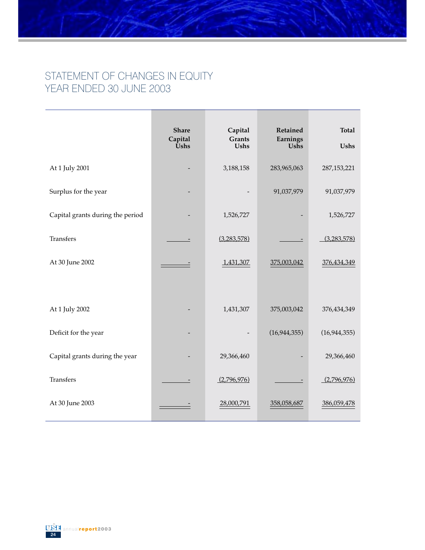## STATEMENT OF CHANGES IN EQUITY YEAR ENDED 30 JUNE 2003

|                                  | <b>Share</b><br>Capital<br><b><u>Ūshs</u></b> | Capital<br><b>Grants</b><br><b>Ushs</b> | Retained<br>Earnings<br>Ushs | <b>Total</b><br><b>Ushs</b> |
|----------------------------------|-----------------------------------------------|-----------------------------------------|------------------------------|-----------------------------|
| At 1 July 2001                   |                                               | 3,188,158                               | 283,965,063                  | 287, 153, 221               |
| Surplus for the year             |                                               |                                         | 91,037,979                   | 91,037,979                  |
| Capital grants during the period |                                               | 1,526,727                               |                              | 1,526,727                   |
| Transfers                        |                                               | (3,283,578)                             | $\overline{\phantom{0}}$     | (3,283,578)                 |
| At 30 June 2002                  |                                               | 1,431,307                               | 375,003,042                  | 376,434,349                 |
|                                  |                                               |                                         |                              |                             |
| At 1 July 2002                   |                                               | 1,431,307                               | 375,003,042                  | 376,434,349                 |
| Deficit for the year             |                                               |                                         | (16, 944, 355)               | (16, 944, 355)              |
| Capital grants during the year   |                                               | 29,366,460                              |                              | 29,366,460                  |
| Transfers                        |                                               | (2,796,976)                             |                              | (2,796,976)                 |
| At 30 June 2003                  |                                               | 28,000,791                              | 358,058,687                  | 386,059,478                 |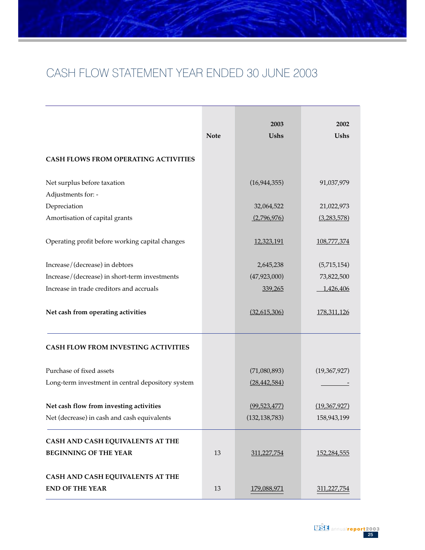# CASH FLOW STATEMENT YEAR ENDED 30 JUNE 2003

|                                                   | <b>Note</b> | 2003<br>Ushs    | 2002<br><b>Ushs</b> |
|---------------------------------------------------|-------------|-----------------|---------------------|
| <b>CASH FLOWS FROM OPERATING ACTIVITIES</b>       |             |                 |                     |
| Net surplus before taxation                       |             | (16, 944, 355)  | 91,037,979          |
| Adjustments for: -                                |             |                 |                     |
| Depreciation                                      |             | 32,064,522      | 21,022,973          |
| Amortisation of capital grants                    |             | (2,796,976)     | (3,283,578)         |
| Operating profit before working capital changes   |             | 12,323,191      | 108,777,374         |
| Increase/(decrease) in debtors                    |             | 2,645,238       | (5,715,154)         |
| Increase/(decrease) in short-term investments     |             | (47, 923, 000)  | 73,822,500          |
| Increase in trade creditors and accruals          |             | 339,265         | 1,426,406           |
| Net cash from operating activities                |             | (32,615,306)    | 178,311,126         |
| CASH FLOW FROM INVESTING ACTIVITIES               |             |                 |                     |
| Purchase of fixed assets                          |             | (71,080,893)    | (19,367,927)        |
| Long-term investment in central depository system |             | (28, 442, 584)  |                     |
| Net cash flow from investing activities           |             | (99, 523, 477)  | (19,367,927)        |
| Net (decrease) in cash and cash equivalents       |             | (132, 138, 783) | 158,943,199         |
| CASH AND CASH EQUIVALENTS AT THE                  |             |                 |                     |
| <b>BEGINNING OF THE YEAR</b>                      | 13          | 311,227,754     | <u>152,284,555</u>  |
| CASH AND CASH EQUIVALENTS AT THE                  |             |                 |                     |
| <b>END OF THE YEAR</b>                            | 13          | 179,088,971     | 311,227,754         |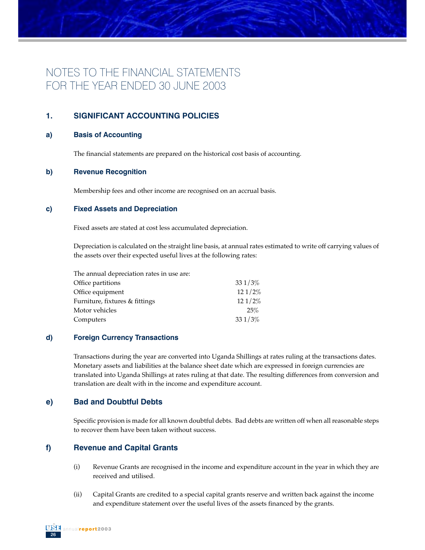## NOTES TO THE FINANCIAL STATEMENTS FOR THE YEAR ENDED 30 JUNE 2003

## **1. SIGNIFICANT ACCOUNTING POLICIES**

#### **a) Basis of Accounting**

The financial statements are prepared on the historical cost basis of accounting.

#### **b) Revenue Recognition**

Membership fees and other income are recognised on an accrual basis.

#### **c) Fixed Assets and Depreciation**

Fixed assets are stated at cost less accumulated depreciation.

Depreciation is calculated on the straight line basis, at annual rates estimated to write off carrying values of the assets over their expected useful lives at the following rates:

| The annual depreciation rates in use are: |        |
|-------------------------------------------|--------|
| Office partitions                         | 331/3% |
| Office equipment                          | 121/2% |
| Furniture, fixtures & fittings            | 121/2% |
| Motor vehicles                            | 25%    |
| Computers                                 | 331/3% |

#### **d) Foreign Currency Transactions**

Transactions during the year are converted into Uganda Shillings at rates ruling at the transactions dates. Monetary assets and liabilities at the balance sheet date which are expressed in foreign currencies are translated into Uganda Shillings at rates ruling at that date. The resulting differences from conversion and translation are dealt with in the income and expenditure account.

#### **e) Bad and Doubtful Debts**

Specific provision is made for all known doubtful debts. Bad debts are written off when all reasonable steps to recover them have been taken without success.

### **f) Revenue and Capital Grants**

- (i) Revenue Grants are recognised in the income and expenditure account in the year in which they are received and utilised.
- (ii) Capital Grants are credited to a special capital grants reserve and written back against the income and expenditure statement over the useful lives of the assets financed by the grants.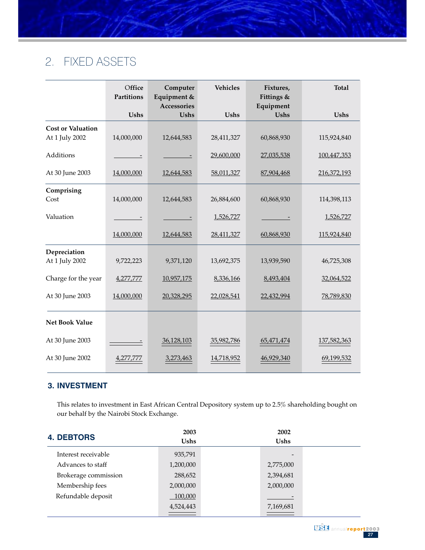# 2. FIXED ASSETS

|                                            | Office<br>Partitions | Computer<br>Equipment &<br>Accessories | <b>Vehicles</b> | Fixtures,<br>Fittings &<br>Equipment | <b>Total</b> |
|--------------------------------------------|----------------------|----------------------------------------|-----------------|--------------------------------------|--------------|
|                                            | Ushs                 | Ushs                                   | Ushs            | <b>Ushs</b>                          | Ushs         |
| <b>Cost or Valuation</b><br>At 1 July 2002 | 14,000,000           | 12,644,583                             | 28,411,327      | 60,868,930                           | 115,924,840  |
| Additions                                  |                      |                                        | 29,600,000      | 27,035,538                           | 100,447,353  |
| At 30 June 2003                            | 14,000,000           | 12,644,583                             | 58,011,327      | 87,904,468                           | 216,372,193  |
| Comprising<br>Cost                         | 14,000,000           | 12,644,583                             | 26,884,600      | 60,868,930                           | 114,398,113  |
| Valuation                                  |                      | and the control                        | 1,526,727       |                                      | 1,526,727    |
|                                            | 14,000,000           | 12,644,583                             | 28,411,327      | 60,868,930                           | 115,924,840  |
| Depreciation<br>At 1 July 2002             | 9,722,223            | 9,371,120                              | 13,692,375      | 13,939,590                           | 46,725,308   |
| Charge for the year                        | 4,277,777            | 10,957,175                             | 8,336,166       | 8,493,404                            | 32,064,522   |
| At 30 June 2003                            | 14,000,000           | 20,328,295                             | 22,028,541      | 22,432,994                           | 78,789,830   |
| <b>Net Book Value</b>                      |                      |                                        |                 |                                      |              |
| At 30 June 2003                            |                      | 36,128,103                             | 35,982,786      | 65,471,474                           | 137,582,363  |
| At 30 June 2002                            | 4,277,777            | 3,273,463                              | 14,718,952      | 46,929,340                           | 69,199,532   |

## **3. INVESTMENT**

This relates to investment in East African Central Depository system up to 2.5% shareholding bought on our behalf by the Nairobi Stock Exchange.

| <b>4. DEBTORS</b>    | 2003<br><b>Ushs</b> | 2002<br><b>Ushs</b>      |  |
|----------------------|---------------------|--------------------------|--|
| Interest receivable  | 935,791             | $\overline{\phantom{0}}$ |  |
| Advances to staff    | 1,200,000           | 2,775,000                |  |
| Brokerage commission | 288,652             | 2,394,681                |  |
| Membership fees      | 2,000,000           | 2,000,000                |  |
| Refundable deposit   | 100,000             |                          |  |
|                      | 4,524,443           | 7,169,681                |  |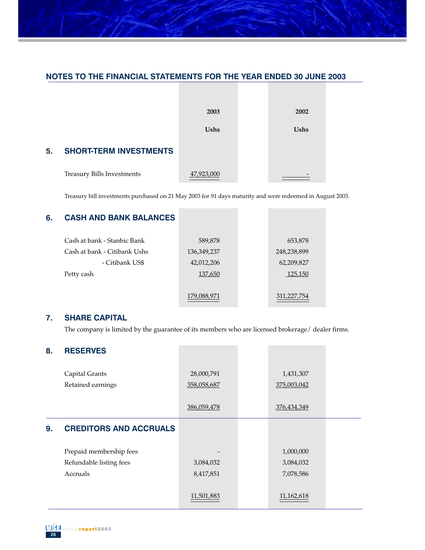## **NOTES TO THE FINANCIAL STATEMENTS FOR THE YEAR ENDED 30 JUNE 2003**



Treasury bill investments purchased on 21 May 2003 for 91 days maturity and were redeemed in August 2003.

### **6. CASH AND BANK BALANCES**

| Cash at bank - Stanbic Bank  | 589,878     | 653,878     |
|------------------------------|-------------|-------------|
| Cash at bank - Citibank Ushs | 136,349,237 | 248,238,899 |
| - Citibank US\$              | 42,012,206  | 62,209,827  |
| Petty cash                   | 137,650     | 125,150     |
|                              |             |             |
|                              | 179,088,971 | 311,227,754 |

### **7. SHARE CAPITAL**

The company is limited by the guarantee of its members who are licensed brokerage/ dealer firms.

| <b>RESERVES</b>               |             |              |  |
|-------------------------------|-------------|--------------|--|
| Capital Grants                | 28,000,791  | 1,431,307    |  |
| Retained earnings             | 358,058,687 | 375,003,042  |  |
|                               | 386,059,478 | 376,434,349  |  |
| <b>CREDITORS AND ACCRUALS</b> |             |              |  |
| Prepaid membership fees       |             | 1,000,000    |  |
| Refundable listing fees       | 3,084,032   | 3,084,032    |  |
| Accruals                      | 8,417,851   | 7,078,586    |  |
|                               |             |              |  |
|                               | 11,501,883  | 11, 162, 618 |  |
|                               |             |              |  |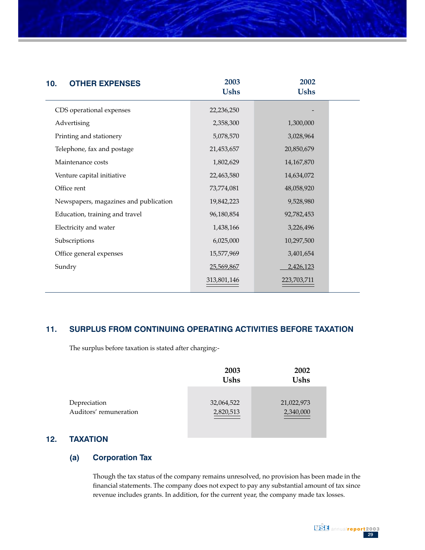| <b>OTHER EXPENSES</b><br>10.          | 2003<br><b>Ushs</b> | 2002<br><b>Ushs</b> |  |
|---------------------------------------|---------------------|---------------------|--|
| CDS operational expenses              | 22,236,250          |                     |  |
| Advertising                           | 2,358,300           | 1,300,000           |  |
| Printing and stationery               | 5,078,570           | 3,028,964           |  |
| Telephone, fax and postage            | 21,453,657          | 20,850,679          |  |
| Maintenance costs                     | 1,802,629           | 14,167,870          |  |
| Venture capital initiative            | 22,463,580          | 14,634,072          |  |
| Office rent                           | 73,774,081          | 48,058,920          |  |
| Newspapers, magazines and publication | 19,842,223          | 9,528,980           |  |
| Education, training and travel        | 96,180,854          | 92,782,453          |  |
| Electricity and water                 | 1,438,166           | 3,226,496           |  |
| Subscriptions                         | 6,025,000           | 10,297,500          |  |
| Office general expenses               | 15,577,969          | 3,401,654           |  |
| Sundry                                | 25,569,867          | 2,426,123           |  |
|                                       | 313,801,146         | 223,703,711         |  |

### **11. SURPLUS FROM CONTINUING OPERATING ACTIVITIES BEFORE TAXATION**

The surplus before taxation is stated after charging:-

|                        | 2003<br><b>Ushs</b> | 2002<br><b>Ushs</b> |
|------------------------|---------------------|---------------------|
| Depreciation           | 32,064,522          | 21,022,973          |
| Auditors' remuneration | 2,820,513           | 2,340,000           |

## **12. TAXATION**

## **(a) Corporation Tax**

Though the tax status of the company remains unresolved, no provision has been made in the financial statements. The company does not expect to pay any substantial amount of tax since revenue includes grants. In addition, for the current year, the company made tax losses.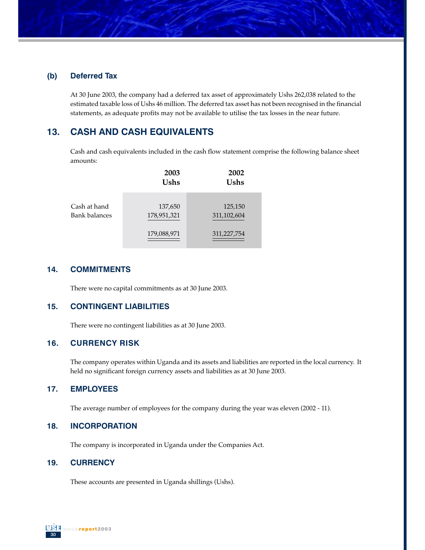#### **(b) Deferred Tax**

At 30 June 2003, the company had a deferred tax asset of approximately Ushs 262,038 related to the estimated taxable loss of Ushs 46 million. The deferred tax asset has not been recognised in the financial statements, as adequate profits may not be available to utilise the tax losses in the near future.

## **13. CASH AND CASH EQUIVALENTS**

Cash and cash equivalents included in the cash flow statement comprise the following balance sheet amounts:

|                               | 2003<br>Ushs           | 2002<br><b>Ushs</b>    |
|-------------------------------|------------------------|------------------------|
| Cash at hand<br>Bank balances | 137,650<br>178,951,321 | 125,150<br>311,102,604 |
|                               | 179,088,971            | 311,227,754            |

#### **14. COMMITMENTS**

There were no capital commitments as at 30 June 2003.

#### **15. CONTINGENT LIABILITIES**

There were no contingent liabilities as at 30 June 2003.

#### **16. CURRENCY RISK**

The company operates within Uganda and its assets and liabilities are reported in the local currency. It held no significant foreign currency assets and liabilities as at 30 June 2003.

## **17. EMPLOYEES**

The average number of employees for the company during the year was eleven (2002 - 11).

#### **18. INCORPORATION**

The company is incorporated in Uganda under the Companies Act.

#### **19. CURRENCY**

These accounts are presented in Uganda shillings (Ushs).

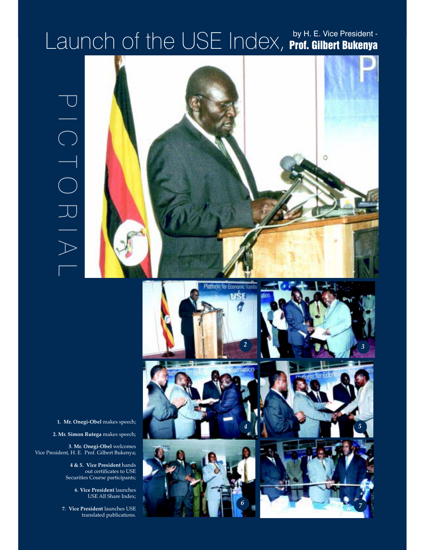## by H. E. Vice President -  $L$ aunch of the USE Index, **Prof. Gilbert Bukenya**

















**1. Mr. Onegi-Obel** makes speech;

**2. Mr. Simon Rutega** makes speech;

**3**. **Mr. Onegi-Obel** welcomes Vice President, H. E. Prof. Gilbert Bukenya;

> **4 & 5. Vice President** hands out certificates to USE Securities Course participants;

> > **6**. **Vice President** launches USE All Share Index;

**7. Vice President** launches USE translated publications.